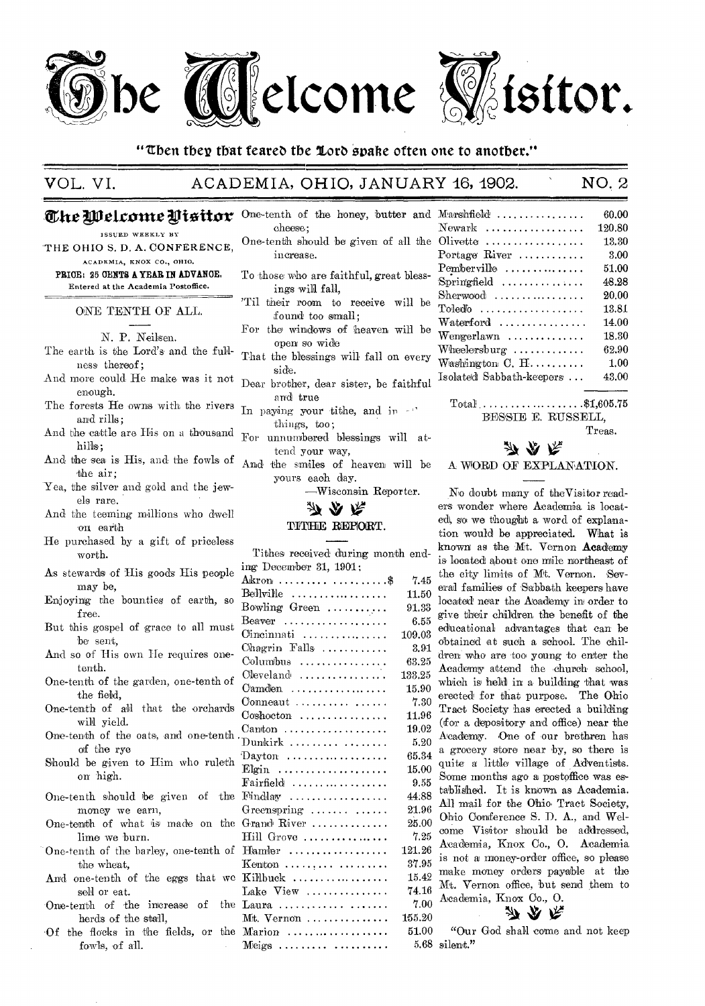

"Then they that feared the Lord spake often one to another."

VOL. VI. ACADEMIA, OHIO, JANUARY 46, 4902. NO. 2

## **The Welcome Visitor** One-tenth of the honey, butter and

ISSUED WEEKLY BY

THE OHIO S. D. A. CONFERENCE, ACADEMIA, KNOX CO., OHIO.

PRICE: 25 CENTS A YEAR IN ADVANCE. Entered at the Academia Postoffice.

ONE TENTH OF ALL.

N. P. Neilsen.

- The earth is the Lord's and the fullness thereof ;
- ness thereor;<br>And more could He make was it not pear brother enough.
- The forests He owns with the rivers  $\frac{1}{\ln}$  paying your tithe, and in and rills;
- And the cattle are His on a thousand  $\Gamma_{\text{OP}}$ hills;
- And the sea is His, and the fowls of And 'the air;
- Yea, the silver and gold and the jewels rare.
- And the teeming millions who dwell on earth
- He purchased by a gift of priceless worth.
- As stewards of His goods His people may be,
- Enjoying the bounties of earth, so free.
- But this gospel of grace to all must be sent,
- And so of His own He requires onetenth.
- One-tenth of the garden, one-tenth of the field,
- One-tenth of all that the orchards will yield.
- One-tenth of the oats, and one-tenth of the rye
- Should be given to Him who ruleth on.high.
- money we earn,
- lime we burn.
- the wheat,
- sell or eat.
- herds of the stall,
- fowls, of all.
- cheese; One-tenth should be given of all the increase.
- To those who are faithful, great blessings will fall,
- 'Til their room to receive will be found too small;
- Far the windows of heaven will be open so wide
- That the blessings will fall on every
- Dear brother, dear sister, be faithful and true
- things, too;
- For unnumbered blessings will attend your way,
- And the smiles of heaven will be yours each day.
	- -Wisconsin Reporter.

#### TITHE REPORT.

One-tenth should be given of the Findlay 44.88 One-tenth of what is made on the Grand River  $\dots\dots\dots\dots$  25.00 One-tenth of the barley, one-tenth of Homier 121.26 And one-tenth of the eggs that we Killbuck .....................  $15.42$ One-tenth of the increase of the Laura  $\dots\dots\dots\dots\dots$  7.00 Of the flocks in the fields, or the Marion .................... 51.00 Tithes received' during month ending December 31, 1901: Akron ......... .............\$ 7.45 Bellville  $\ldots \ldots \ldots \ldots \ldots$  11.50 Bowling Green  $\ldots \ldots \ldots$  91.33 Beaver  $\ldots$ ................ 6.55 Cincinnati .................. 109.03<br>Chagrin Falls ............ 3.91 Chagrin Falls ..........  $C$ olumbus  $\ldots \ldots \ldots \ldots$  63.25 Cleveland, ................ 133.25  $C$ amden  $\ldots \ldots \ldots \ldots \ldots$  15.90 Conneaut  $\ldots \ldots \ldots \ldots$  7.30  $Coshocton$  .............. 11.96 Canton  $\ldots \ldots \ldots \ldots \ldots$  19.02  $Dunkirk$  ................  $5.20$ Dayton  $\ldots$ ............... 65.34 Elgin  $\ldots \ldots \ldots \ldots \ldots \ldots$  15.00  $Fairfield$  ................. 9.55 Greenspring  $\ldots \ldots \ldots$  21.96  $Hill$  Grove  $\ldots \ldots \ldots \ldots \ldots$  7.25 Kenton .........  $1.11$ ....... 37.95 Lake View ................ 74.16<br>Laura ............. ....... 7.00 Mt. Vernon ............... 155.20<br>Marion ................. 51.00  $M eigs \ldots \ldots \ldots \ldots \ldots$ 

| $M$ arshfield $\ldots$ ,,,,,,,,,,,,,,      | 60.00  |
|--------------------------------------------|--------|
| $Newark$                                   | 120.80 |
| Olivette $\ldots \ldots \ldots \ldots$     | 13.30  |
| Portage River $\dots\dots\dots$            | 3.00   |
| $Pemberville$                              | 51.00  |
| $Sprin'gfield$                             | 48.28  |
| $Sherwood$                                 | 20.00  |
| $\text{Toled}^{\scriptscriptstyle\bullet}$ | 13.81  |
|                                            | 14.00  |
| Wengerlawn                                 | 18.30  |
| Wheelersburg $\ldots \ldots \ldots$        | 62.90  |
| Washington $C, H, \ldots, \ldots$          | 1.00   |
| Isolated Sabbath-keepers                   | 43.00  |
|                                            |        |

Total ...... .........\$1,605.75 BESSIE E. RUSSELL,

Treas.

#### **7) A** R

#### A WORD OF EXPLANAP1ON.

No doubt many of theVisitor readers wonder where Academia is located, so we thought a word of explanation would be appreciated. What is known as the Mt. Vernon Academy is located about one mile northeast of the city limits of Mt. Vernon. 'Several families of Sabbath keepers have located near the Academy in order to give their children the benefit of the educational advantages that can be obtained at such a school. The children who are too young to enter the Academy attend the church school, which is held in a building that was erected for that purpose. The Ohio Tract Society has erected a building (for a depository and office) near the Academy. One of our brethren has a grocery store near by, so there is quite a little village of Adventists. Some months ago a postoffice was established. It is known as Academia. All mail for the Ohio Tract Society, Ohio Conference S. D. A., and Welcome Visitor should be addressed, Academia, Knox Co., 0. Academia is not a money-order office, so please make money orders payable at the Mt. Vernon office, but send them to Academia, Knox Co., 0.

# 办办乐

"Our God shall come and not keep silent."

为众庆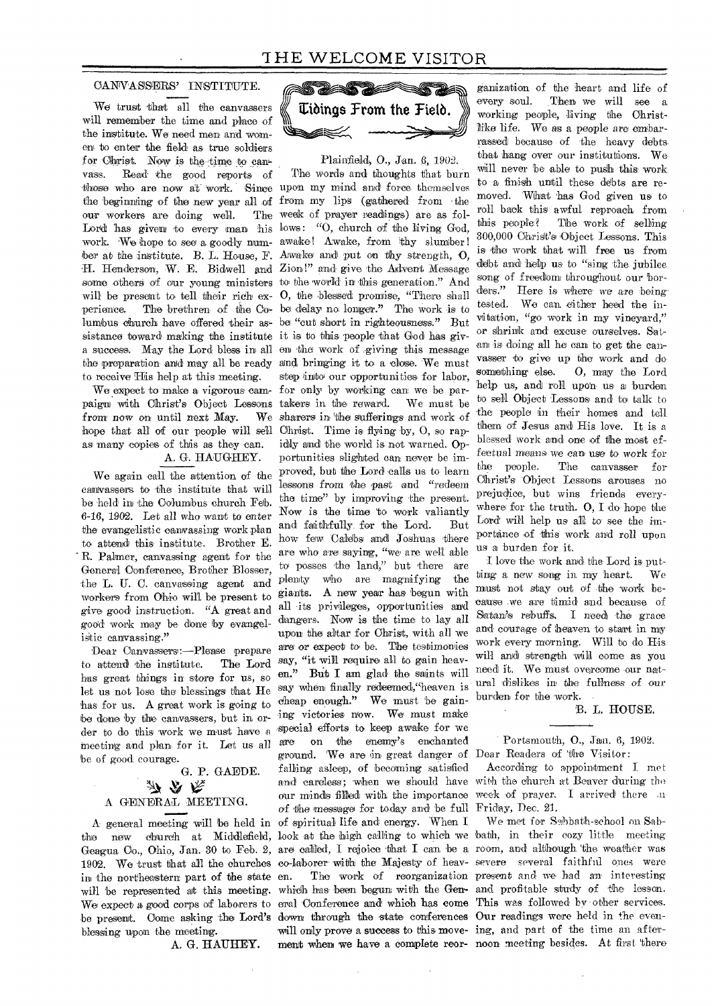#### CANVASSERS' INSTITUTE.

We trust that all the canvassers will remember the time and place of the institute. We need men and women to enter the field as true soldiers for Christ. Now is the-time to canvass. Read the good reports of those who are now at work. Since upon my mind and force themselves the beginning of the new year all of from my lips (gathered from the our workers are doing well. Lord has given to every man his lows: "O, church of the living God, work. 'We hope to see a goodly num-awake! Awake, from thy slumber! ber at the institute. B. L. House, F. Awake and put on thy strength, O, H. Henderson, W. E. Bidwell and Zion!" and give 'the Advent Message some others of our young ministers to the world in this generation." And will be present to tell their rich ex- O, the blessed promise, "There shall perience. The brethren of the Co-be delay no, longer." The work is to lumbus church have offered their as-be "cut short in righteousness," But sistance toward making the institute it is to this people that God has giva success. May the Lord bless in all en the work of .giving this message to receive His help at this meeting.

from now on until next May. as many copies of this as they can.

### A. G. HAUGHEY.

We again call the attention of the canvassers to the institute that will be held in the Columbus church Feb. 6-16, 1902. Let all who want to enter the evangelistic canvassing work plan to attend this institute. Brother E. R. Palmer, canvassing agent for the General Conference, Brother Blosser, the L. U. C. canvassing agent and workers from Ohio will be present to give good' instruction. "A great and good work may be done by evangelistic canvassing."

Dear Canvassers:—Please prepare to attend the institute. has great things in store for us, so let us not lose the blessings that He has for us. A great work is going to be done by the canvassers, but in order to do this work we must have a meeting and plan for it. Let us all 'be of good courage.

G. P. GAEDE.

# A GEINERAI MEETING.

in the northeastern part of the state be present. Come asking the Lord's down through the state conferences Our readings were held in the evenblessing upon the meeting.

A. G. HAUHEY.



Plainfield), 0., Jan. 6, 1902.

the preparation and may all be ready and bringing it to a close. 'We must We expect to make a vigorous cam- for only by working can we be parpaign with Christ's Object Lessons takers in the reward. We must be hope that all of our people will sell Christ. Time is flying by, O, so rap-A general meeting will be held in of spiritual life and energy. When I The words and thoughts that burn The week of prayer readings) are as folstep into our opportunities for labor. We sharers in the sufferings and work of idly and the world is not warned. Opportunities slighted can never be improved, but the Lord calls us to learn lessons from the past and "redeem the time" by improving the present. Now is the time to work valiantly and faithfully\_ for the Lord. But how few Calebs and Joshuas there are who are saying, "we are well able to posses the land," but there are plenty who are magnifying the *giants.* A new year has 'begun with all its privileges, opportunities and dangers. Now is the time to lay all upon the altar for Christ, with all we are or expect to be. The testimonies The Lord say, "it will require all to gain heaven." But I am glad the saints will say when finally redeemed, heaven is cheap enough." We must be gaining victories now. We must make -special efforts to keep awake for we are on 'the enemy's enchanted ground. We are 'in great danger of Dear Readers of 'the Visitor: falling asleep, of becoming satisfied of the message for today and be full Friday, Dec. 21.

ganization of the heart and life of every soul. Then we will see a working people, living the Christlike life. We as a people are embarrassed because of the heavy debtsthat hang over our institutions. We will never be able to push this work to a finish until these debts are removed. What 'has God given us to roll back this awful reproach from this people? The work of selling 300,000 Christ's Object Lessons. This is the work that will free us from debt and help us to "sing the jubilee song of freedom throughout our borders." Here is where we are being tested. We can, either heed the invitation, "go' work in my vineyard," Or shrink and excuse ourselves. Satan is doing all he can to get the canvasser 'to give up the work and dosomething else. O, may the Lord help us, and roll upon us a burden. to sell Object Lessons and to talk to the people in their homes and tell them of Jesus and His love. It is a blessed work and one of the most effectual means we can use to work for the people. The canvasser for Christ's 'Object Lessons arouses no prejudice, but wins friends everywhere for the truth. 0, I do hope the Lord will help us all to see the importance of this work and roll upon us a 'burden for it.

I love the- work and the Lord is- putting a new song in my heart. We must not stay out of the work because .we are timid and because of Satan's rebuffs. I need the grace and courage of heaven to start in my work every morning. Will to do His will and strength will come as you need it. We must overcome our natural dislikes in the fullness of our burden for the work.

### B. L. HOUSE.

Portsmouth, 0., Jan. 6, 1902.

and careless; when we should have with the church at Beaver during the our minds filled with the importance week of prayer. I arrived there an According to appointment I met

the new church at Middlefield, look at the high calling to which we bath, in their cozy little meeting Geagua Co., Ohio, Jan. 30 to Feb. 2, are called, I rejoice that I can be a room, and although the weather was 1902. We trust that all the churches co-laborer with the Majesty of heav-severe several faithful ones were will be represented at this meeting. which has been begun with the Gen- and profitable study of the lesson. We expect a good corps of laborers to eral Conference and which has come This was followed by other services. en. The work of reorganization present and we had an interesting will only prove a success to this move-ing, and part of the time an afterment when we have a complete reor-noon meeting besides. At first there We met for Sabbath-school on Sab-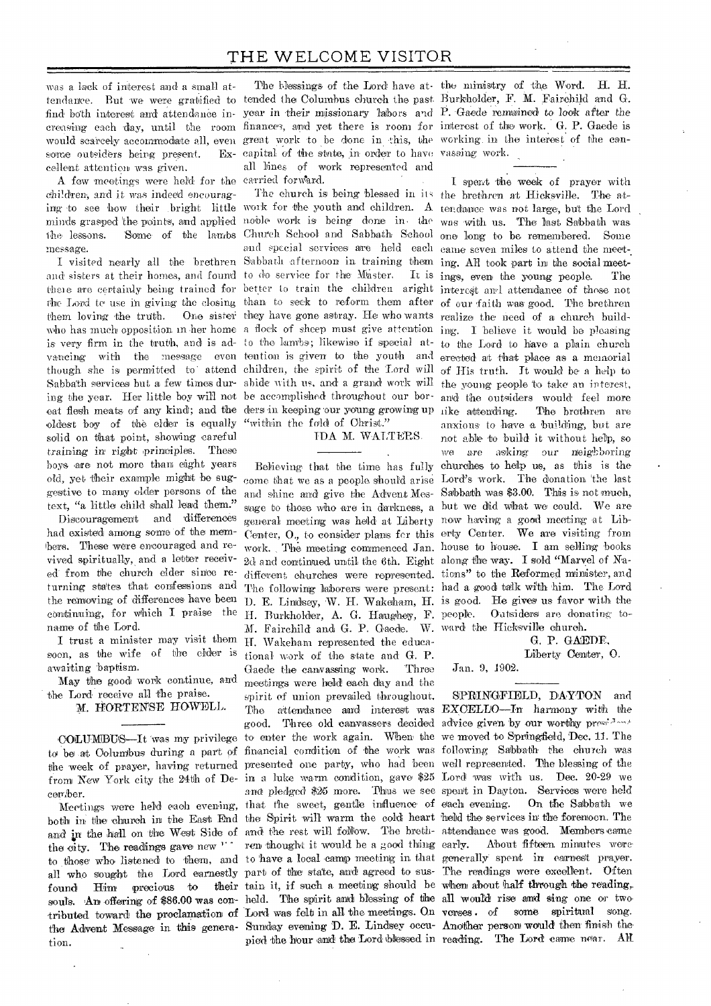was a lack of interest and a small atsome outsiders being present. cellent attention was given.

A few meetings were held for the carried forward. children, and it was indeed encouragmessage.

them loving the truth. oldest boy of the elder is equally "within the fold of Christ." solid on that point, showing careful training in' right principles. These boys are not more than eight years old, yet their example might be suggestive to many older persons of the text, "a little child shall lead them."

Discouragement and 'differences had existed among some of the members. These were encouraged and revived spiritually, and a letter received' from the church elder since returning states that confessions and continuing, for which I praise the name of the Lord.

I trust a minister may visit them soon, as the wife of the elder is awaiting 'baptism.

May the good work continue, and the Lord receive all the praise.

M. HORTENSE HOWELL.

cember.

tion.

tendance. But we were gratified to tended the Columbus church the past. Burkholder, F. M. Fairchild and G. find both interest and attendance in-year in their missionary labors and P. Gaede remained to look after the creasing each day, until the room finances, and yet there is room for interest of the work. G. P. Gaede is would scarcely accommodate all, even great work to be done in this, the working in the interest of the cancapital of the state, in order to have vassing work. all lines of 'work represented and

ing to see how their bright little work for the youth and children. A tendance was not large, but the Lord minds grasped the points, and applied noble work is being done in the was with us. The last Sabbath was the lessons. 'Some of the lambs Church School and Sabbath School one long to be remembered. Some I visited nearly all the brethren Sabbath afternoon in training them ing. All took part in the social meetand sisters at their homes, and found to do service for the Master. It is ings, even the young people. The there are certainly being trained for better to train the children aright interest and attendance of these not the Lord to use in giving the closing than to seek to reform them after of our faith was good. The brethren who has much opposition in her home a flock of sheep must give attention ing. I believe it would be pleasing is very firm in the truth, and is ad- to the lambs; likewise if special at- to the Lord to have a plain church vancing with the message even tention is given to the youth and erected at that place as a memorial though she is permitted to attend children, the spirit of the Lord will of His truth. It would be a help to Sabbath services but a few times dur- abide with us, and a grand work will the young people to take an interest, ing the year. Her little boy will not be accomplished throughout our bor-and the outsiders would feel more eat flesh meats of any kind; and the ders in keeping our young growing up like attending. The brethren are and special services are 'held each came seven miles to attend the meetthey have gone astray. He who wants realize the need of a church build-

IDA M. WALTERS.

come that we as a people should arise Lord's work. The donation 'the last and shine and give the Advent Mes-Sabbath was \$3.00. This is not much, general meeting was held at Liberty now having a good meeting at Lib-Center, 0., to consider plans fcr this erty Center. We are visiting from work. , The meeting commenced Jan. house to house. I am selling 'books 2d and continued until the 6th. Eight along the way. I sold "Marvel of Nadifferent, churches were represented. tions" to the Reformed minister, and The following laborers were present: had a good talk with him. The Lord H. Burkholder, A. G. Haughey, F. people. Outsiders are donating to-M. Fairchild and G. P. Gaede. W. ward the Hicksville church. H. Wakeham represented the educational work of the state and G. P. Gaede the canvassing work. meetings were held each day and the spirit of union prevailed throughout. pied the hour and the Lord blessed in reading. The Lord came near. All

The blessings of the Lord have at-the ministry of the Word. H. H.

the removing of differences have been D. E. Lindsey, W. H. Wakeham, H. is good. He gives us favor with the The church is being blessed in its the brethren at Hicksville. The at-Believing that the time has fully churches to help us, as this is the sage to those who are in darkness, a but we did what we could. We are I spent 'the week of prayer with anxious to have a building, but are not able to 'build it without help, so we *are* asking our neighboring

G. P. GAEDE,

Liberty Center, 0.

Jan. 9, 1902.

COLUMBUS—It was my privilege to enter the work again. When the we moved to Springfield, Dec. 11. The to be at Columbus during a part of financial condition of the work was following Sabbath the church was the week of prayer, having returned presented one party, who had been well represented. The blessing of the from New York city the 24th of De-in a Luke warm condition, gave \$25 Lord was with us. Dec. 20-29 we Meetings were held each evening, that the sweet, gentle influence of each evening. On the Sabbath we both in the church in the East End the Spirit will warm the cold heart held the services in the forenoon. The and in the hall on the West Side of and the rest will follow. The breth-attendance was good. Members came the city. The readings gave new " ren thought it would be a good thing early. About fifteen minutes were to those who listened to them, and to have a local camp meeting in that generally spent in earnest prayer. all who sought the Lord earnestly part of the state, and agreed to sus- The readings were excellent. Often found Him precious to their tain it, if such a meeting should be when about half through the reading, souls. An offering of \$86.00 was con-held. The spirit and blessing of the all would rise and sing one or two. tributed toward the proclamation of Lord was felt in all the meetings. On verses of some spiritual song. the Advent Message in this genera-Sunday evening D. E. Lindsey occu-Another person would then finish the. The attendance and interest was EXCELLO—In harmony with the good. Three old canvassers decided advice given by our worthy president and pledged' \$25 more. Thus we see spent in Dayton. 'Services were held SPRINGFIELD, DAYTON and